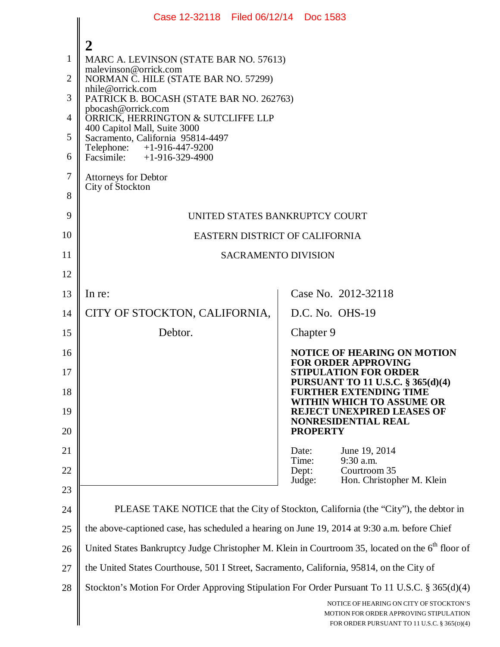|                | Case 12-32118 Filed 06/12/14 Doc 1583                                                                        |                                                                                                                                  |  |
|----------------|--------------------------------------------------------------------------------------------------------------|----------------------------------------------------------------------------------------------------------------------------------|--|
| 1              | 2<br>MARC A. LEVINSON (STATE BAR NO. 57613)<br>malevinson@orrick.com                                         |                                                                                                                                  |  |
| $\overline{2}$ | NORMAN C. HILE (STATE BAR NO. 57299)<br>nhile@orrick.com                                                     |                                                                                                                                  |  |
| 3              | PATRICK B. BOCASH (STATE BAR NO. 262763)<br>pbocash@orrick.com                                               |                                                                                                                                  |  |
| 4              | ORRICK, HERRINGTON & SUTCLIFFE LLP<br>400 Capitol Mall, Suite 3000                                           |                                                                                                                                  |  |
| 5              | Sacramento, California 95814-4497<br>Telephone: +1-916-447-9200                                              |                                                                                                                                  |  |
| 6              | Facsimile: $+1-916-329-4900$                                                                                 |                                                                                                                                  |  |
| $\overline{7}$ | <b>Attorneys for Debtor</b><br>City of Stockton                                                              |                                                                                                                                  |  |
| 8              |                                                                                                              |                                                                                                                                  |  |
| 9              | UNITED STATES BANKRUPTCY COURT                                                                               |                                                                                                                                  |  |
| 10             | EASTERN DISTRICT OF CALIFORNIA                                                                               |                                                                                                                                  |  |
| 11             | <b>SACRAMENTO DIVISION</b>                                                                                   |                                                                                                                                  |  |
| 12             |                                                                                                              |                                                                                                                                  |  |
| 13             | In re:                                                                                                       | Case No. 2012-32118                                                                                                              |  |
| 14             | CITY OF STOCKTON, CALIFORNIA,                                                                                | D.C. No. OHS-19                                                                                                                  |  |
| 15             | Debtor.                                                                                                      | Chapter 9                                                                                                                        |  |
| 16             |                                                                                                              | <b>NOTICE OF HEARING ON MOTION</b><br><b>FOR ORDER APPROVING</b>                                                                 |  |
| 17             |                                                                                                              | <b>STIPULATION FOR ORDER</b><br><b>PURSUANT TO 11 U.S.C. § 365(d)(4)</b>                                                         |  |
| 18             |                                                                                                              | <b>FURTHER EXTENDING TIME</b><br>WITHIN WHICH TO ASSUME OR                                                                       |  |
| 19             |                                                                                                              | <b>REJECT UNEXPIRED LEASES OF</b><br><b>NONRESIDENTIAL REAL</b>                                                                  |  |
| 20             |                                                                                                              | <b>PROPERTY</b>                                                                                                                  |  |
| 21             |                                                                                                              | June 19, 2014<br>Date:<br>9:30 a.m.<br>Time:                                                                                     |  |
| 22             |                                                                                                              | Courtroom 35<br>Dept:<br>Hon. Christopher M. Klein<br>Judge:                                                                     |  |
| 23             |                                                                                                              |                                                                                                                                  |  |
| 24             | PLEASE TAKE NOTICE that the City of Stockton, California (the "City"), the debtor in                         |                                                                                                                                  |  |
| 25             | the above-captioned case, has scheduled a hearing on June 19, 2014 at 9:30 a.m. before Chief                 |                                                                                                                                  |  |
| 26             | United States Bankruptcy Judge Christopher M. Klein in Courtroom 35, located on the 6 <sup>th</sup> floor of |                                                                                                                                  |  |
| 27             | the United States Courthouse, 501 I Street, Sacramento, California, 95814, on the City of                    |                                                                                                                                  |  |
| 28             | Stockton's Motion For Order Approving Stipulation For Order Pursuant To 11 U.S.C. § 365(d)(4)                |                                                                                                                                  |  |
|                |                                                                                                              | NOTICE OF HEARING ON CITY OF STOCKTON'S<br>MOTION FOR ORDER APPROVING STIPULATION<br>FOR ORDER PURSUANT TO 11 U.S.C. § 365(D)(4) |  |